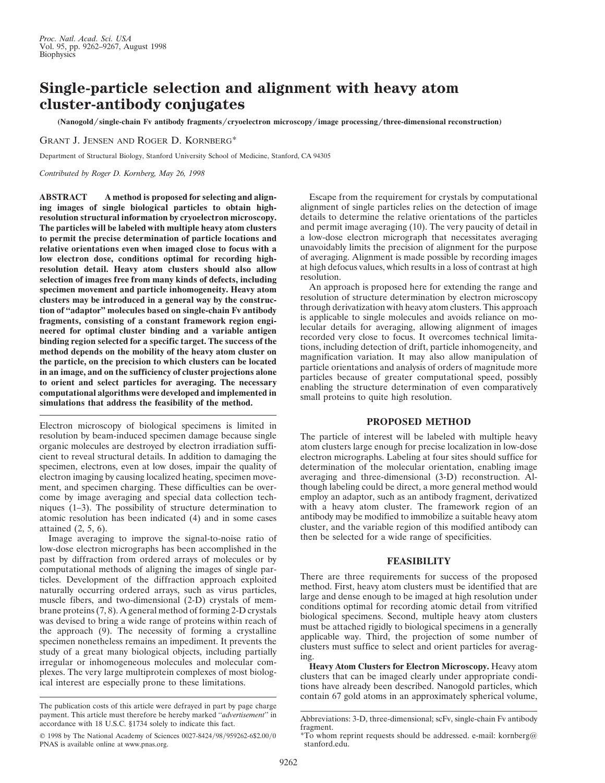# **Single-particle selection and alignment with heavy atom cluster-antibody conjugates**

**(Nanogold**y**single-chain Fv antibody fragments**y**cryoelectron microscopy**y**image processing**y**three-dimensional reconstruction)**

GRANT J. JENSEN AND ROGER D. KORNBERG\*

Department of Structural Biology, Stanford University School of Medicine, Stanford, CA 94305

*Contributed by Roger D. Kornberg, May 26, 1998*

**ABSTRACT A method is proposed for selecting and aligning images of single biological particles to obtain highresolution structural information by cryoelectron microscopy. The particles will be labeled with multiple heavy atom clusters to permit the precise determination of particle locations and relative orientations even when imaged close to focus with a low electron dose, conditions optimal for recording highresolution detail. Heavy atom clusters should also allow selection of images free from many kinds of defects, including specimen movement and particle inhomogeneity. Heavy atom clusters may be introduced in a general way by the construction of ''adaptor'' molecules based on single-chain Fv antibody fragments, consisting of a constant framework region engineered for optimal cluster binding and a variable antigen binding region selected for a specific target. The success of the method depends on the mobility of the heavy atom cluster on the particle, on the precision to which clusters can be located in an image, and on the sufficiency of cluster projections alone to orient and select particles for averaging. The necessary computational algorithms were developed and implemented in simulations that address the feasibility of the method.**

Electron microscopy of biological specimens is limited in resolution by beam-induced specimen damage because single organic molecules are destroyed by electron irradiation sufficient to reveal structural details. In addition to damaging the specimen, electrons, even at low doses, impair the quality of electron imaging by causing localized heating, specimen movement, and specimen charging. These difficulties can be overcome by image averaging and special data collection techniques (1–3). The possibility of structure determination to atomic resolution has been indicated (4) and in some cases attained (2, 5, 6).

Image averaging to improve the signal-to-noise ratio of low-dose electron micrographs has been accomplished in the past by diffraction from ordered arrays of molecules or by computational methods of aligning the images of single particles. Development of the diffraction approach exploited naturally occurring ordered arrays, such as virus particles, muscle fibers, and two-dimensional (2-D) crystals of membrane proteins (7, 8). A general method of forming 2-D crystals was devised to bring a wide range of proteins within reach of the approach (9). The necessity of forming a crystalline specimen nonetheless remains an impediment. It prevents the study of a great many biological objects, including partially irregular or inhomogeneous molecules and molecular complexes. The very large multiprotein complexes of most biological interest are especially prone to these limitations.

Escape from the requirement for crystals by computational alignment of single particles relies on the detection of image details to determine the relative orientations of the particles and permit image averaging (10). The very paucity of detail in a low-dose electron micrograph that necessitates averaging unavoidably limits the precision of alignment for the purpose of averaging. Alignment is made possible by recording images at high defocus values, which results in a loss of contrast at high resolution.

An approach is proposed here for extending the range and resolution of structure determination by electron microscopy through derivatization with heavy atom clusters. This approach is applicable to single molecules and avoids reliance on molecular details for averaging, allowing alignment of images recorded very close to focus. It overcomes technical limitations, including detection of drift, particle inhomogeneity, and magnification variation. It may also allow manipulation of particle orientations and analysis of orders of magnitude more particles because of greater computational speed, possibly enabling the structure determination of even comparatively small proteins to quite high resolution.

# **PROPOSED METHOD**

The particle of interest will be labeled with multiple heavy atom clusters large enough for precise localization in low-dose electron micrographs. Labeling at four sites should suffice for determination of the molecular orientation, enabling image averaging and three-dimensional (3-D) reconstruction. Although labeling could be direct, a more general method would employ an adaptor, such as an antibody fragment, derivatized with a heavy atom cluster. The framework region of an antibody may be modified to immobilize a suitable heavy atom cluster, and the variable region of this modified antibody can then be selected for a wide range of specificities.

#### **FEASIBILITY**

There are three requirements for success of the proposed method. First, heavy atom clusters must be identified that are large and dense enough to be imaged at high resolution under conditions optimal for recording atomic detail from vitrified biological specimens. Second, multiple heavy atom clusters must be attached rigidly to biological specimens in a generally applicable way. Third, the projection of some number of clusters must suffice to select and orient particles for averaging.

**Heavy Atom Clusters for Electron Microscopy.** Heavy atom clusters that can be imaged clearly under appropriate conditions have already been described. Nanogold particles, which contain 67 gold atoms in an approximately spherical volume,

The publication costs of this article were defrayed in part by page charge payment. This article must therefore be hereby marked ''*advertisement*'' in accordance with 18 U.S.C. §1734 solely to indicate this fact.

<sup>© 1998</sup> by The National Academy of Sciences 0027-8424/98/959262-6\$2.00/0 PNAS is available online at www.pnas.org.

Abbreviations: 3-D, three-dimensional; scFv, single-chain Fv antibody fragment.

<sup>\*</sup>To whom reprint requests should be addressed. e-mail: kornberg@ stanford.edu.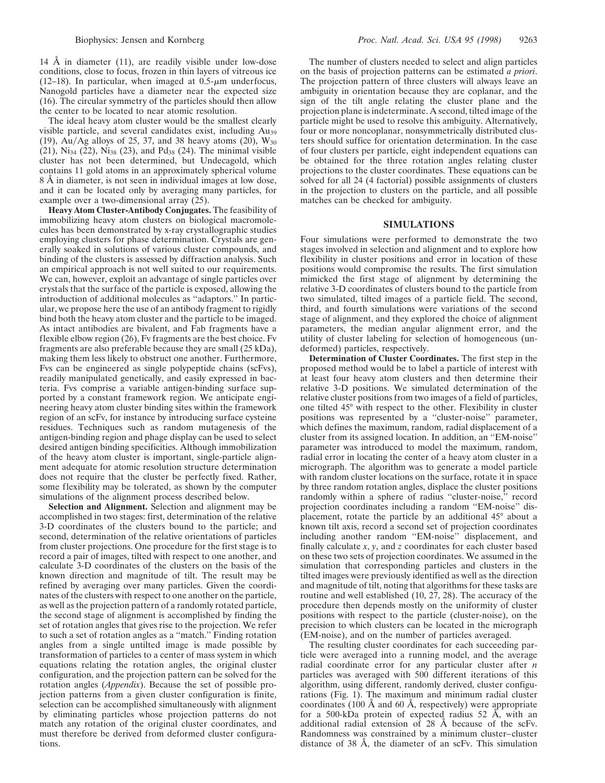14 Å in diameter (11), are readily visible under low-dose conditions, close to focus, frozen in thin layers of vitreous ice (12–18). In particular, when imaged at  $0.5-\mu m$  underfocus, Nanogold particles have a diameter near the expected size (16). The circular symmetry of the particles should then allow the center to be located to near atomic resolution.

The ideal heavy atom cluster would be the smallest clearly visible particle, and several candidates exist, including Au<sub>39</sub> (19),  $Au/Ag$  alloys of 25, 37, and 38 heavy atoms (20),  $W_{30}$  $(21)$ , Ni<sub>34</sub>  $(22)$ , Ni<sub>38</sub>  $(23)$ , and Pd<sub>38</sub>  $(24)$ . The minimal visible cluster has not been determined, but Undecagold, which contains 11 gold atoms in an approximately spherical volume 8 Å in diameter, is not seen in individual images at low dose, and it can be located only by averaging many particles, for example over a two-dimensional array (25).

**Heavy Atom Cluster-Antibody Conjugates.** The feasibility of immobilizing heavy atom clusters on biological macromolecules has been demonstrated by x-ray crystallographic studies employing clusters for phase determination. Crystals are generally soaked in solutions of various cluster compounds, and binding of the clusters is assessed by diffraction analysis. Such an empirical approach is not well suited to our requirements. We can, however, exploit an advantage of single particles over crystals that the surface of the particle is exposed, allowing the introduction of additional molecules as ''adaptors.'' In particular, we propose here the use of an antibody fragment to rigidly bind both the heavy atom cluster and the particle to be imaged. As intact antibodies are bivalent, and Fab fragments have a flexible elbow region (26), Fv fragments are the best choice. Fv fragments are also preferable because they are small (25 kDa), making them less likely to obstruct one another. Furthermore, Fvs can be engineered as single polypeptide chains (scFvs), readily manipulated genetically, and easily expressed in bacteria. Fvs comprise a variable antigen-binding surface supported by a constant framework region. We anticipate engineering heavy atom cluster binding sites within the framework region of an scFv, for instance by introducing surface cysteine residues. Techniques such as random mutagenesis of the antigen-binding region and phage display can be used to select desired antigen binding specificities. Although immobilization of the heavy atom cluster is important, single-particle alignment adequate for atomic resolution structure determination does not require that the cluster be perfectly fixed. Rather, some flexibility may be tolerated, as shown by the computer simulations of the alignment process described below.

**Selection and Alignment.** Selection and alignment may be accomplished in two stages: first, determination of the relative 3-D coordinates of the clusters bound to the particle; and second, determination of the relative orientations of particles from cluster projections. One procedure for the first stage is to record a pair of images, tilted with respect to one another, and calculate 3-D coordinates of the clusters on the basis of the known direction and magnitude of tilt. The result may be refined by averaging over many particles. Given the coordinates of the clusters with respect to one another on the particle, as well as the projection pattern of a randomly rotated particle, the second stage of alignment is accomplished by finding the set of rotation angles that gives rise to the projection. We refer to such a set of rotation angles as a ''match.'' Finding rotation angles from a single untilted image is made possible by transformation of particles to a center of mass system in which equations relating the rotation angles, the original cluster configuration, and the projection pattern can be solved for the rotation angles (*Appendix*). Because the set of possible projection patterns from a given cluster configuration is finite, selection can be accomplished simultaneously with alignment by eliminating particles whose projection patterns do not match any rotation of the original cluster coordinates, and must therefore be derived from deformed cluster configurations.

The number of clusters needed to select and align particles on the basis of projection patterns can be estimated *a priori*. The projection pattern of three clusters will always leave an ambiguity in orientation because they are coplanar, and the sign of the tilt angle relating the cluster plane and the projection plane is indeterminate. A second, tilted image of the particle might be used to resolve this ambiguity. Alternatively, four or more noncoplanar, nonsymmetrically distributed clusters should suffice for orientation determination. In the case of four clusters per particle, eight independent equations can be obtained for the three rotation angles relating cluster projections to the cluster coordinates. These equations can be solved for all 24 (4 factorial) possible assignments of clusters in the projection to clusters on the particle, and all possible matches can be checked for ambiguity.

# **SIMULATIONS**

Four simulations were performed to demonstrate the two stages involved in selection and alignment and to explore how flexibility in cluster positions and error in location of these positions would compromise the results. The first simulation mimicked the first stage of alignment by determining the relative 3-D coordinates of clusters bound to the particle from two simulated, tilted images of a particle field. The second, third, and fourth simulations were variations of the second stage of alignment, and they explored the choice of alignment parameters, the median angular alignment error, and the utility of cluster labeling for selection of homogeneous (undeformed) particles, respectively.

**Determination of Cluster Coordinates.** The first step in the proposed method would be to label a particle of interest with at least four heavy atom clusters and then determine their relative 3-D positions. We simulated determination of the relative cluster positions from two images of a field of particles, one tilted 45° with respect to the other. Flexibility in cluster positions was represented by a ''cluster-noise'' parameter, which defines the maximum, random, radial displacement of a cluster from its assigned location. In addition, an ''EM-noise'' parameter was introduced to model the maximum, random, radial error in locating the center of a heavy atom cluster in a micrograph. The algorithm was to generate a model particle with random cluster locations on the surface, rotate it in space by three random rotation angles, displace the cluster positions randomly within a sphere of radius "cluster-noise," record projection coordinates including a random ''EM-noise'' displacement, rotate the particle by an additional 45° about a known tilt axis, record a second set of projection coordinates including another random ''EM-noise'' displacement, and finally calculate *x*, *y*, and *z* coordinates for each cluster based on these two sets of projection coordinates. We assumed in the simulation that corresponding particles and clusters in the tilted images were previously identified as well as the direction and magnitude of tilt, noting that algorithms for these tasks are routine and well established (10, 27, 28). The accuracy of the procedure then depends mostly on the uniformity of cluster positions with respect to the particle (cluster-noise), on the precision to which clusters can be located in the micrograph (EM-noise), and on the number of particles averaged.

The resulting cluster coordinates for each succeeding particle were averaged into a running model, and the average radial coordinate error for any particular cluster after *n* particles was averaged with 500 different iterations of this algorithm, using different, randomly derived, cluster configurations (Fig. 1). The maximum and minimum radial cluster coordinates (100 Å and 60 Å, respectively) were appropriate for a 500-kDa protein of expected radius 52 Å, with an additional radial extension of 28 Å because of the scFv. Randomness was constrained by a minimum cluster–cluster distance of 38 Å, the diameter of an scFv. This simulation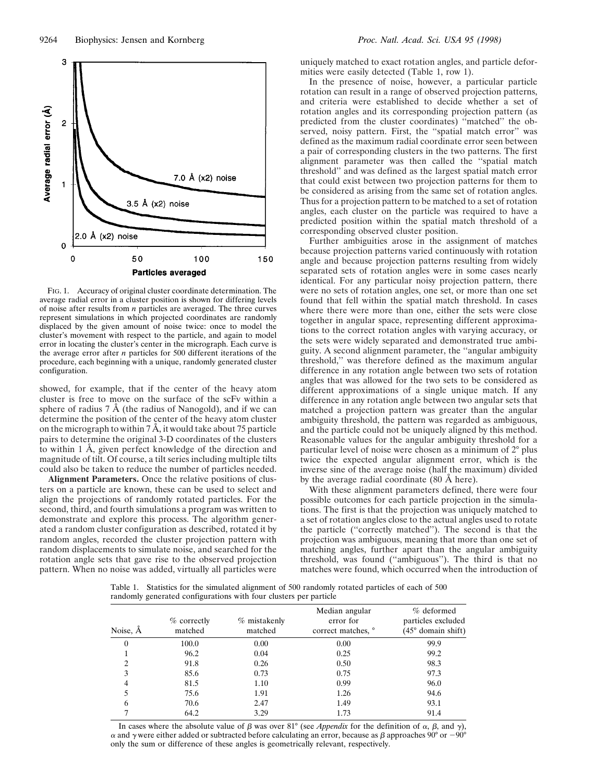

FIG. 1. Accuracy of original cluster coordinate determination. The average radial error in a cluster position is shown for differing levels of noise after results from *n* particles are averaged. The three curves represent simulations in which projected coordinates are randomly displaced by the given amount of noise twice: once to model the cluster's movement with respect to the particle, and again to model error in locating the cluster's center in the micrograph. Each curve is the average error after *n* particles for 500 different iterations of the procedure, each beginning with a unique, randomly generated cluster configuration.

showed, for example, that if the center of the heavy atom cluster is free to move on the surface of the scFv within a sphere of radius  $7 \text{ Å}$  (the radius of Nanogold), and if we can determine the position of the center of the heavy atom cluster on the micrograph to within  $7 \text{ Å}$ , it would take about 75 particle pairs to determine the original 3-D coordinates of the clusters to within 1 Å, given perfect knowledge of the direction and magnitude of tilt. Of course, a tilt series including multiple tilts could also be taken to reduce the number of particles needed.

**Alignment Parameters.** Once the relative positions of clusters on a particle are known, these can be used to select and align the projections of randomly rotated particles. For the second, third, and fourth simulations a program was written to demonstrate and explore this process. The algorithm generated a random cluster configuration as described, rotated it by random angles, recorded the cluster projection pattern with random displacements to simulate noise, and searched for the rotation angle sets that gave rise to the observed projection pattern. When no noise was added, virtually all particles were uniquely matched to exact rotation angles, and particle deformities were easily detected (Table 1, row 1).

In the presence of noise, however, a particular particle rotation can result in a range of observed projection patterns, and criteria were established to decide whether a set of rotation angles and its corresponding projection pattern (as predicted from the cluster coordinates) ''matched'' the observed, noisy pattern. First, the ''spatial match error'' was defined as the maximum radial coordinate error seen between a pair of corresponding clusters in the two patterns. The first alignment parameter was then called the ''spatial match threshold'' and was defined as the largest spatial match error that could exist between two projection patterns for them to be considered as arising from the same set of rotation angles. Thus for a projection pattern to be matched to a set of rotation angles, each cluster on the particle was required to have a predicted position within the spatial match threshold of a corresponding observed cluster position.

Further ambiguities arose in the assignment of matches because projection patterns varied continuously with rotation angle and because projection patterns resulting from widely separated sets of rotation angles were in some cases nearly identical. For any particular noisy projection pattern, there were no sets of rotation angles, one set, or more than one set found that fell within the spatial match threshold. In cases where there were more than one, either the sets were close together in angular space, representing different approximations to the correct rotation angles with varying accuracy, or the sets were widely separated and demonstrated true ambiguity. A second alignment parameter, the ''angular ambiguity threshold,'' was therefore defined as the maximum angular difference in any rotation angle between two sets of rotation angles that was allowed for the two sets to be considered as different approximations of a single unique match. If any difference in any rotation angle between two angular sets that matched a projection pattern was greater than the angular ambiguity threshold, the pattern was regarded as ambiguous, and the particle could not be uniquely aligned by this method. Reasonable values for the angular ambiguity threshold for a particular level of noise were chosen as a minimum of 2° plus twice the expected angular alignment error, which is the inverse sine of the average noise (half the maximum) divided by the average radial coordinate (80 Å here).

With these alignment parameters defined, there were four possible outcomes for each particle projection in the simulations. The first is that the projection was uniquely matched to a set of rotation angles close to the actual angles used to rotate the particle (''correctly matched''). The second is that the projection was ambiguous, meaning that more than one set of matching angles, further apart than the angular ambiguity threshold, was found (''ambiguous''). The third is that no matches were found, which occurred when the introduction of

Table 1. Statistics for the simulated alignment of 500 randomly rotated particles of each of 500 randomly generated configurations with four clusters per particle

| Noise, A         | $\%$ correctly<br>matched | $%$ mistakenly<br>matched | Median angular<br>error for<br>correct matches, $\degree$ | $%$ deformed<br>particles excluded<br>$(45^{\circ}$ domain shift) |
|------------------|---------------------------|---------------------------|-----------------------------------------------------------|-------------------------------------------------------------------|
| $\boldsymbol{0}$ | 100.0                     | 0.00                      | 0.00                                                      | 99.9                                                              |
|                  | 96.2                      | 0.04                      | 0.25                                                      | 99.2                                                              |
| 2                | 91.8                      | 0.26                      | 0.50                                                      | 98.3                                                              |
| 3                | 85.6                      | 0.73                      | 0.75                                                      | 97.3                                                              |
| 4                | 81.5                      | 1.10                      | 0.99                                                      | 96.0                                                              |
| 5                | 75.6                      | 1.91                      | 1.26                                                      | 94.6                                                              |
| 6                | 70.6                      | 2.47                      | 1.49                                                      | 93.1                                                              |
|                  | 64.2                      | 3.29                      | 1.73                                                      | 91.4                                                              |

In cases where the absolute value of  $\beta$  was over 81° (see *Appendix* for the definition of  $\alpha$ ,  $\beta$ , and  $\gamma$ ),  $\alpha$  and  $\gamma$  were either added or subtracted before calculating an error, because as  $\beta$  approaches 90° or  $-90^\circ$ only the sum or difference of these angles is geometrically relevant, respectively.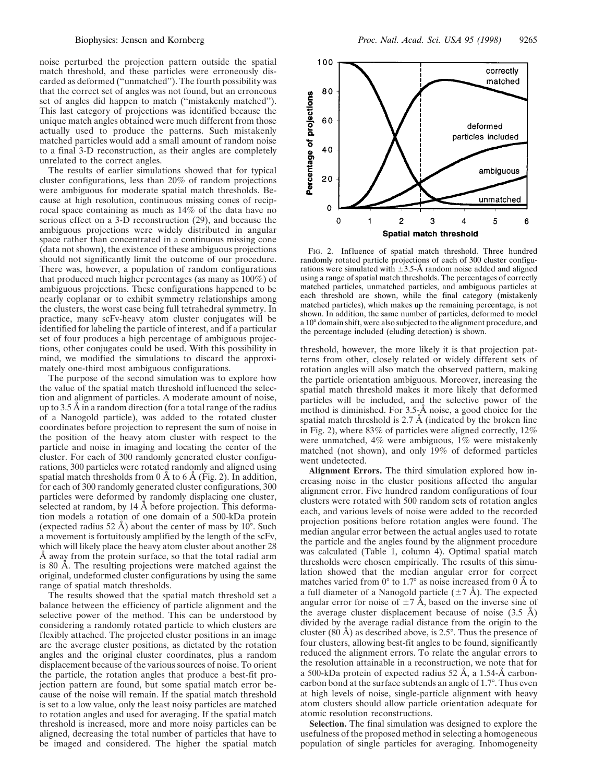noise perturbed the projection pattern outside the spatial match threshold, and these particles were erroneously discarded as deformed (''unmatched''). The fourth possibility was that the correct set of angles was not found, but an erroneous set of angles did happen to match (''mistakenly matched''). This last category of projections was identified because the unique match angles obtained were much different from those actually used to produce the patterns. Such mistakenly matched particles would add a small amount of random noise to a final 3-D reconstruction, as their angles are completely unrelated to the correct angles.

The results of earlier simulations showed that for typical cluster configurations, less than 20% of random projections were ambiguous for moderate spatial match thresholds. Because at high resolution, continuous missing cones of reciprocal space containing as much as 14% of the data have no serious effect on a 3-D reconstruction (29), and because the ambiguous projections were widely distributed in angular space rather than concentrated in a continuous missing cone (data not shown), the existence of these ambiguous projections should not significantly limit the outcome of our procedure. There was, however, a population of random configurations that produced much higher percentages (as many as 100%) of ambiguous projections. These configurations happened to be nearly coplanar or to exhibit symmetry relationships among the clusters, the worst case being full tetrahedral symmetry. In practice, many scFv-heavy atom cluster conjugates will be identified for labeling the particle of interest, and if a particular set of four produces a high percentage of ambiguous projections, other conjugates could be used. With this possibility in mind, we modified the simulations to discard the approximately one-third most ambiguous configurations.

The purpose of the second simulation was to explore how the value of the spatial match threshold influenced the selection and alignment of particles. A moderate amount of noise, up to 3.5 Å in a random direction (for a total range of the radius of a Nanogold particle), was added to the rotated cluster coordinates before projection to represent the sum of noise in the position of the heavy atom cluster with respect to the particle and noise in imaging and locating the center of the cluster. For each of 300 randomly generated cluster configurations, 300 particles were rotated randomly and aligned using spatial match thresholds from  $0 \text{ Å}$  to  $6 \text{ Å}$  (Fig. 2). In addition, for each of 300 randomly generated cluster configurations, 300 particles were deformed by randomly displacing one cluster, selected at random, by 14 Å before projection. This deformation models a rotation of one domain of a 500-kDa protein (expected radius 52 Å) about the center of mass by 10°. Such a movement is fortuitously amplified by the length of the scFv, which will likely place the heavy atom cluster about another 28 Å away from the protein surface, so that the total radial arm is 80 Å. The resulting projections were matched against the original, undeformed cluster configurations by using the same range of spatial match thresholds.

The results showed that the spatial match threshold set a balance between the efficiency of particle alignment and the selective power of the method. This can be understood by considering a randomly rotated particle to which clusters are flexibly attached. The projected cluster positions in an image are the average cluster positions, as dictated by the rotation angles and the original cluster coordinates, plus a random displacement because of the various sources of noise. To orient the particle, the rotation angles that produce a best-fit projection pattern are found, but some spatial match error because of the noise will remain. If the spatial match threshold is set to a low value, only the least noisy particles are matched to rotation angles and used for averaging. If the spatial match threshold is increased, more and more noisy particles can be aligned, decreasing the total number of particles that have to be imaged and considered. The higher the spatial match



FIG. 2. Influence of spatial match threshold. Three hundred randomly rotated particle projections of each of 300 cluster configurations were simulated with  $\pm$ 3.5-Å random noise added and aligned using a range of spatial match thresholds. The percentages of correctly matched particles, unmatched particles, and ambiguous particles at each threshold are shown, while the final category (mistakenly matched particles), which makes up the remaining percentage, is not shown. In addition, the same number of particles, deformed to model a 10° domain shift, were also subjected to the alignment procedure, and the percentage included (eluding detection) is shown.

threshold, however, the more likely it is that projection patterns from other, closely related or widely different sets of rotation angles will also match the observed pattern, making the particle orientation ambiguous. Moreover, increasing the spatial match threshold makes it more likely that deformed particles will be included, and the selective power of the method is diminished. For 3.5-Å noise, a good choice for the spatial match threshold is 2.7 Å (indicated by the broken line in Fig. 2), where 83% of particles were aligned correctly, 12% were unmatched, 4% were ambiguous, 1% were mistakenly matched (not shown), and only 19% of deformed particles went undetected.

**Alignment Errors.** The third simulation explored how increasing noise in the cluster positions affected the angular alignment error. Five hundred random configurations of four clusters were rotated with 500 random sets of rotation angles each, and various levels of noise were added to the recorded projection positions before rotation angles were found. The median angular error between the actual angles used to rotate the particle and the angles found by the alignment procedure was calculated (Table 1, column 4). Optimal spatial match thresholds were chosen empirically. The results of this simulation showed that the median angular error for correct matches varied from 0° to 1.7° as noise increased from 0 Å to a full diameter of a Nanogold particle  $(\pm 7 \text{ Å})$ . The expected angular error for noise of  $\pm 7$  Å, based on the inverse sine of the average cluster displacement because of noise  $(3.5 \text{ Å})$ divided by the average radial distance from the origin to the cluster (80 Å) as described above, is  $2.5^{\circ}$ . Thus the presence of four clusters, allowing best-fit angles to be found, significantly reduced the alignment errors. To relate the angular errors to the resolution attainable in a reconstruction, we note that for a 500-kDa protein of expected radius 52 Å, a 1.54-Å carboncarbon bond at the surface subtends an angle of 1.7°. Thus even at high levels of noise, single-particle alignment with heavy atom clusters should allow particle orientation adequate for atomic resolution reconstructions.

**Selection.** The final simulation was designed to explore the usefulness of the proposed method in selecting a homogeneous population of single particles for averaging. Inhomogeneity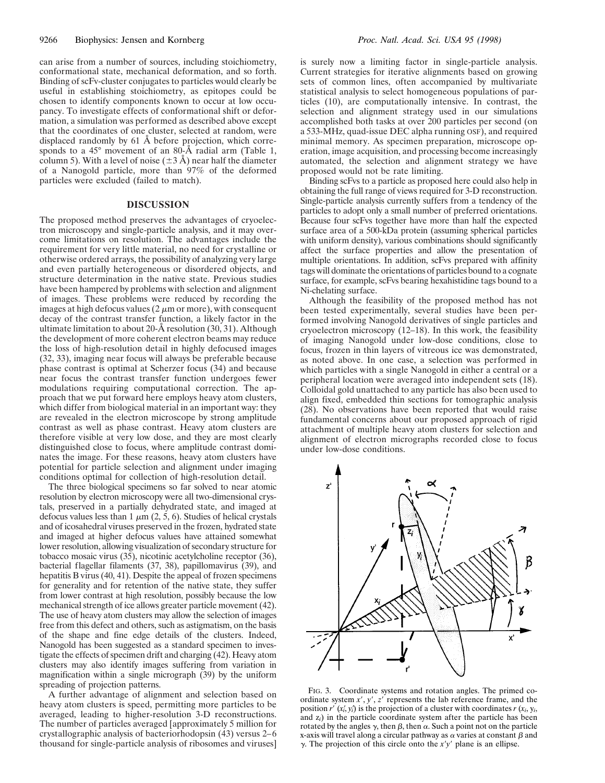can arise from a number of sources, including stoichiometry, conformational state, mechanical deformation, and so forth. Binding of scFv-cluster conjugates to particles would clearly be useful in establishing stoichiometry, as epitopes could be chosen to identify components known to occur at low occupancy. To investigate effects of conformational shift or deformation, a simulation was performed as described above except that the coordinates of one cluster, selected at random, were displaced randomly by 61 Å before projection, which corresponds to a 45° movement of an 80-Å radial arm (Table 1, column 5). With a level of noise  $(\pm 3 \text{ Å})$  near half the diameter of a Nanogold particle, more than 97% of the deformed particles were excluded (failed to match).

#### **DISCUSSION**

The proposed method preserves the advantages of cryoelectron microscopy and single-particle analysis, and it may overcome limitations on resolution. The advantages include the requirement for very little material, no need for crystalline or otherwise ordered arrays, the possibility of analyzing very large and even partially heterogeneous or disordered objects, and structure determination in the native state. Previous studies have been hampered by problems with selection and alignment of images. These problems were reduced by recording the images at high defocus values  $(2 \mu m \text{ or more})$ , with consequent decay of the contrast transfer function, a likely factor in the ultimate limitation to about 20-Å resolution (30, 31). Although the development of more coherent electron beams may reduce the loss of high-resolution detail in highly defocused images (32, 33), imaging near focus will always be preferable because phase contrast is optimal at Scherzer focus (34) and because near focus the contrast transfer function undergoes fewer modulations requiring computational correction. The approach that we put forward here employs heavy atom clusters, which differ from biological material in an important way: they are revealed in the electron microscope by strong amplitude contrast as well as phase contrast. Heavy atom clusters are therefore visible at very low dose, and they are most clearly distinguished close to focus, where amplitude contrast dominates the image. For these reasons, heavy atom clusters have potential for particle selection and alignment under imaging conditions optimal for collection of high-resolution detail.

The three biological specimens so far solved to near atomic resolution by electron microscopy were all two-dimensional crystals, preserved in a partially dehydrated state, and imaged at defocus values less than 1  $\mu$ m (2, 5, 6). Studies of helical crystals and of icosahedral viruses preserved in the frozen, hydrated state and imaged at higher defocus values have attained somewhat lower resolution, allowing visualization of secondary structure for tobacco mosaic virus (35), nicotinic acetylcholine receptor (36), bacterial flagellar filaments (37, 38), papillomavirus (39), and hepatitis B virus (40, 41). Despite the appeal of frozen specimens for generality and for retention of the native state, they suffer from lower contrast at high resolution, possibly because the low mechanical strength of ice allows greater particle movement (42). The use of heavy atom clusters may allow the selection of images free from this defect and others, such as astigmatism, on the basis of the shape and fine edge details of the clusters. Indeed, Nanogold has been suggested as a standard specimen to investigate the effects of specimen drift and charging (42). Heavy atom clusters may also identify images suffering from variation in magnification within a single micrograph (39) by the uniform spreading of projection patterns.

A further advantage of alignment and selection based on heavy atom clusters is speed, permitting more particles to be averaged, leading to higher-resolution 3-D reconstructions. The number of particles averaged [approximately 5 million for crystallographic analysis of bacteriorhodopsin (43) versus 2–6 thousand for single-particle analysis of ribosomes and viruses]

is surely now a limiting factor in single-particle analysis. Current strategies for iterative alignments based on growing sets of common lines, often accompanied by multivariate statistical analysis to select homogeneous populations of particles (10), are computationally intensive. In contrast, the selection and alignment strategy used in our simulations accomplished both tasks at over 200 particles per second (on a 533-MHz, quad-issue DEC alpha running OSF), and required minimal memory. As specimen preparation, microscope operation, image acquisition, and processing become increasingly automated, the selection and alignment strategy we have proposed would not be rate limiting.

Binding scFvs to a particle as proposed here could also help in obtaining the full range of views required for 3-D reconstruction. Single-particle analysis currently suffers from a tendency of the particles to adopt only a small number of preferred orientations. Because four scFvs together have more than half the expected surface area of a 500-kDa protein (assuming spherical particles with uniform density), various combinations should significantly affect the surface properties and allow the presentation of multiple orientations. In addition, scFvs prepared with affinity tags will dominate the orientations of particles bound to a cognate surface, for example, scFvs bearing hexahistidine tags bound to a Ni-chelating surface.

Although the feasibility of the proposed method has not been tested experimentally, several studies have been performed involving Nanogold derivatives of single particles and cryoelectron microscopy (12–18). In this work, the feasibility of imaging Nanogold under low-dose conditions, close to focus, frozen in thin layers of vitreous ice was demonstrated, as noted above. In one case, a selection was performed in which particles with a single Nanogold in either a central or a peripheral location were averaged into independent sets (18). Colloidal gold unattached to any particle has also been used to align fixed, embedded thin sections for tomographic analysis (28). No observations have been reported that would raise fundamental concerns about our proposed approach of rigid attachment of multiple heavy atom clusters for selection and alignment of electron micrographs recorded close to focus under low-dose conditions.



FIG. 3. Coordinate systems and rotation angles. The primed coordinate system  $x'$ ,  $y'$ ,  $z'$  represents the lab reference frame, and the position  $r'(x'_i, y'_i)$  is the projection of a cluster with coordinates  $r(x_i, y_i)$ , and z*i*) in the particle coordinate system after the particle has been rotated by the angles  $\gamma$ , then  $\beta$ , then  $\alpha$ . Such a point not on the particle x-axis will travel along a circular pathway as  $\alpha$  varies at constant  $\beta$  and  $\gamma$ . The projection of this circle onto the *x'y'* plane is an ellipse.